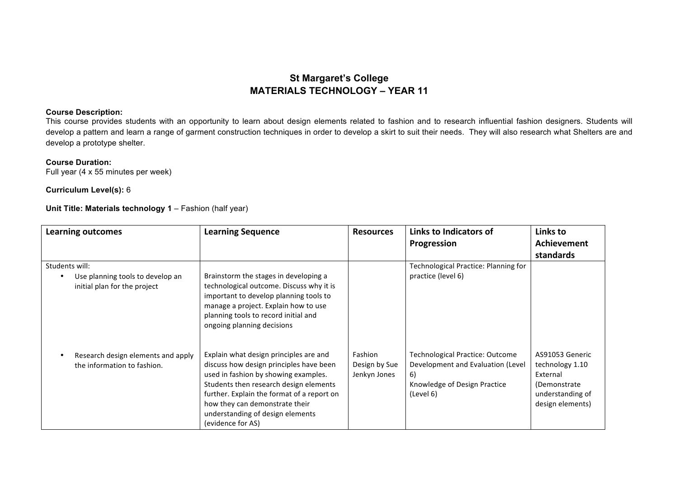## **St Margaret's College MATERIALS TECHNOLOGY – YEAR 11**

## **Course Description:**

This course provides students with an opportunity to learn about design elements related to fashion and to research influential fashion designers. Students will develop a pattern and learn a range of garment construction techniques in order to develop a skirt to suit their needs. They will also research what Shelters are and develop a prototype shelter.

## **Course Duration:**

Full year (4 x 55 minutes per week)

## **Curriculum Level(s):** 6

**Unit Title: Materials technology 1** – Fashion (half year)

| <b>Learning outcomes</b>                                                           | <b>Learning Sequence</b>                                                                                                                                                                                                                                                                                     | <b>Resources</b>                         | Links to Indicators of<br>Progression                                                                                          | Links to<br>Achievement<br>standards                                                                   |
|------------------------------------------------------------------------------------|--------------------------------------------------------------------------------------------------------------------------------------------------------------------------------------------------------------------------------------------------------------------------------------------------------------|------------------------------------------|--------------------------------------------------------------------------------------------------------------------------------|--------------------------------------------------------------------------------------------------------|
| Students will:<br>Use planning tools to develop an<br>initial plan for the project | Brainstorm the stages in developing a<br>technological outcome. Discuss why it is<br>important to develop planning tools to<br>manage a project. Explain how to use<br>planning tools to record initial and<br>ongoing planning decisions                                                                    |                                          | Technological Practice: Planning for<br>practice (level 6)                                                                     |                                                                                                        |
| Research design elements and apply<br>the information to fashion.                  | Explain what design principles are and<br>discuss how design principles have been<br>used in fashion by showing examples.<br>Students then research design elements<br>further. Explain the format of a report on<br>how they can demonstrate their<br>understanding of design elements<br>(evidence for AS) | Fashion<br>Design by Sue<br>Jenkyn Jones | <b>Technological Practice: Outcome</b><br>Development and Evaluation (Level<br>6)<br>Knowledge of Design Practice<br>(Level 6) | AS91053 Generic<br>technology 1.10<br>External<br>(Demonstrate<br>understanding of<br>design elements) |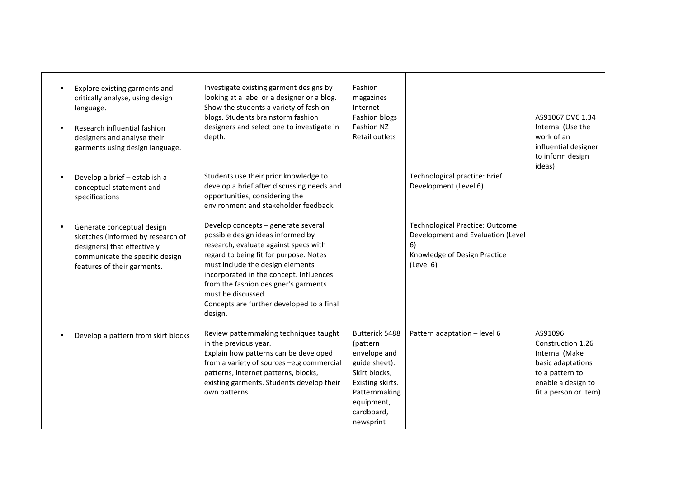| Explore existing garments and<br>critically analyse, using design<br>language.<br>Research influential fashion<br>designers and analyse their<br>garments using design language. | Investigate existing garment designs by<br>looking at a label or a designer or a blog.<br>Show the students a variety of fashion<br>blogs. Students brainstorm fashion<br>designers and select one to investigate in<br>depth.                                                                                                                                   | Fashion<br>magazines<br>Internet<br>Fashion blogs<br>Fashion NZ<br>Retail outlets                                                                          |                                                                                                                                | AS91067 DVC 1.34<br>Internal (Use the<br>work of an<br>influential designer<br>to inform design<br>ideas)                             |
|----------------------------------------------------------------------------------------------------------------------------------------------------------------------------------|------------------------------------------------------------------------------------------------------------------------------------------------------------------------------------------------------------------------------------------------------------------------------------------------------------------------------------------------------------------|------------------------------------------------------------------------------------------------------------------------------------------------------------|--------------------------------------------------------------------------------------------------------------------------------|---------------------------------------------------------------------------------------------------------------------------------------|
| Develop a brief - establish a<br>conceptual statement and<br>specifications                                                                                                      | Students use their prior knowledge to<br>develop a brief after discussing needs and<br>opportunities, considering the<br>environment and stakeholder feedback.                                                                                                                                                                                                   |                                                                                                                                                            | Technological practice: Brief<br>Development (Level 6)                                                                         |                                                                                                                                       |
| Generate conceptual design<br>sketches (informed by research of<br>designers) that effectively<br>communicate the specific design<br>features of their garments.                 | Develop concepts - generate several<br>possible design ideas informed by<br>research, evaluate against specs with<br>regard to being fit for purpose. Notes<br>must include the design elements<br>incorporated in the concept. Influences<br>from the fashion designer's garments<br>must be discussed.<br>Concepts are further developed to a final<br>design. |                                                                                                                                                            | <b>Technological Practice: Outcome</b><br>Development and Evaluation (Level<br>6)<br>Knowledge of Design Practice<br>(Level 6) |                                                                                                                                       |
| Develop a pattern from skirt blocks                                                                                                                                              | Review patternmaking techniques taught<br>in the previous year.<br>Explain how patterns can be developed<br>from a variety of sources -e.g commercial<br>patterns, internet patterns, blocks,<br>existing garments. Students develop their<br>own patterns.                                                                                                      | Butterick 5488<br>(pattern<br>envelope and<br>guide sheet).<br>Skirt blocks,<br>Existing skirts.<br>Patternmaking<br>equipment,<br>cardboard,<br>newsprint | Pattern adaptation - level 6                                                                                                   | AS91096<br>Construction 1.26<br>Internal (Make<br>basic adaptations<br>to a pattern to<br>enable a design to<br>fit a person or item) |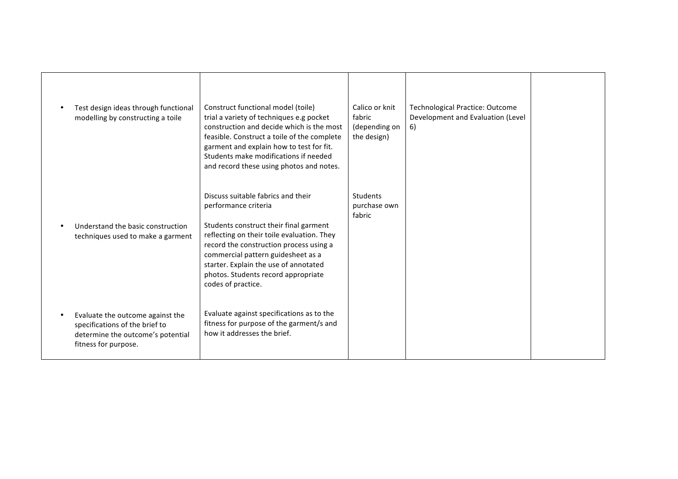| Test design ideas through functional<br>modelling by constructing a toile                                                       | Construct functional model (toile)<br>trial a variety of techniques e.g pocket<br>construction and decide which is the most<br>feasible. Construct a toile of the complete<br>garment and explain how to test for fit.<br>Students make modifications if needed<br>and record these using photos and notes.                               | Calico or knit<br>fabric<br>(depending on<br>the design) | <b>Technological Practice: Outcome</b><br>Development and Evaluation (Level<br>6) |  |
|---------------------------------------------------------------------------------------------------------------------------------|-------------------------------------------------------------------------------------------------------------------------------------------------------------------------------------------------------------------------------------------------------------------------------------------------------------------------------------------|----------------------------------------------------------|-----------------------------------------------------------------------------------|--|
| Understand the basic construction<br>techniques used to make a garment                                                          | Discuss suitable fabrics and their<br>performance criteria<br>Students construct their final garment<br>reflecting on their toile evaluation. They<br>record the construction process using a<br>commercial pattern guidesheet as a<br>starter. Explain the use of annotated<br>photos. Students record appropriate<br>codes of practice. | Students<br>purchase own<br>fabric                       |                                                                                   |  |
| Evaluate the outcome against the<br>specifications of the brief to<br>determine the outcome's potential<br>fitness for purpose. | Evaluate against specifications as to the<br>fitness for purpose of the garment/s and<br>how it addresses the brief.                                                                                                                                                                                                                      |                                                          |                                                                                   |  |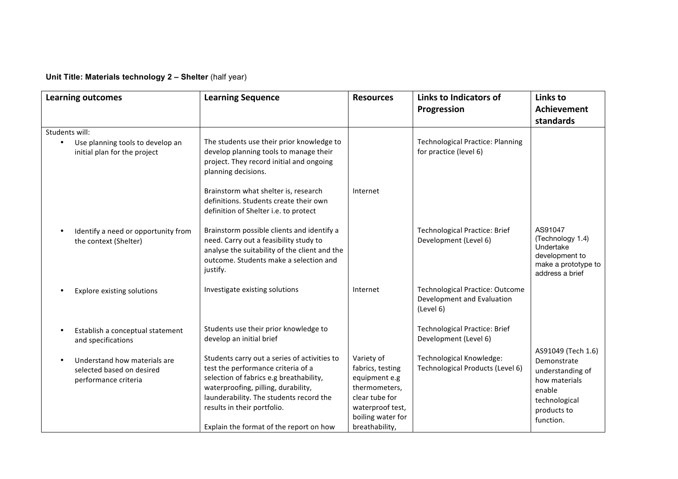**Unit Title: Materials technology 2 – Shelter** (half year)

|                | <b>Learning outcomes</b>                                                          | <b>Learning Sequence</b>                                                                                                                                                                                                                                                                  | <b>Resources</b>                                                                                                                              | Links to Indicators of<br>Progression                                             | Links to<br><b>Achievement</b>                                                                          |
|----------------|-----------------------------------------------------------------------------------|-------------------------------------------------------------------------------------------------------------------------------------------------------------------------------------------------------------------------------------------------------------------------------------------|-----------------------------------------------------------------------------------------------------------------------------------------------|-----------------------------------------------------------------------------------|---------------------------------------------------------------------------------------------------------|
|                |                                                                                   |                                                                                                                                                                                                                                                                                           |                                                                                                                                               |                                                                                   | standards                                                                                               |
| Students will: |                                                                                   |                                                                                                                                                                                                                                                                                           |                                                                                                                                               |                                                                                   |                                                                                                         |
|                | Use planning tools to develop an<br>initial plan for the project                  | The students use their prior knowledge to<br>develop planning tools to manage their<br>project. They record initial and ongoing<br>planning decisions.                                                                                                                                    |                                                                                                                                               | <b>Technological Practice: Planning</b><br>for practice (level 6)                 |                                                                                                         |
|                |                                                                                   | Brainstorm what shelter is, research<br>definitions. Students create their own<br>definition of Shelter i.e. to protect                                                                                                                                                                   | Internet                                                                                                                                      |                                                                                   |                                                                                                         |
|                | Identify a need or opportunity from<br>the context (Shelter)                      | Brainstorm possible clients and identify a<br>need. Carry out a feasibility study to<br>analyse the suitability of the client and the<br>outcome. Students make a selection and<br>justify.                                                                                               |                                                                                                                                               | <b>Technological Practice: Brief</b><br>Development (Level 6)                     | AS91047<br>(Technology 1.4)<br>Undertake<br>development to<br>make a prototype to<br>address a brief    |
|                | <b>Explore existing solutions</b>                                                 | Investigate existing solutions                                                                                                                                                                                                                                                            | Internet                                                                                                                                      | <b>Technological Practice: Outcome</b><br>Development and Evaluation<br>(Level 6) |                                                                                                         |
|                | Establish a conceptual statement<br>and specifications                            | Students use their prior knowledge to<br>develop an initial brief                                                                                                                                                                                                                         |                                                                                                                                               | <b>Technological Practice: Brief</b><br>Development (Level 6)                     | AS91049 (Tech 1.6)                                                                                      |
|                | Understand how materials are<br>selected based on desired<br>performance criteria | Students carry out a series of activities to<br>test the performance criteria of a<br>selection of fabrics e.g breathability,<br>waterproofing, pilling, durability,<br>launderability. The students record the<br>results in their portfolio.<br>Explain the format of the report on how | Variety of<br>fabrics, testing<br>equipment e.g<br>thermometers,<br>clear tube for<br>waterproof test,<br>boiling water for<br>breathability, | Technological Knowledge:<br>Technological Products (Level 6)                      | Demonstrate<br>understanding of<br>how materials<br>enable<br>technological<br>products to<br>function. |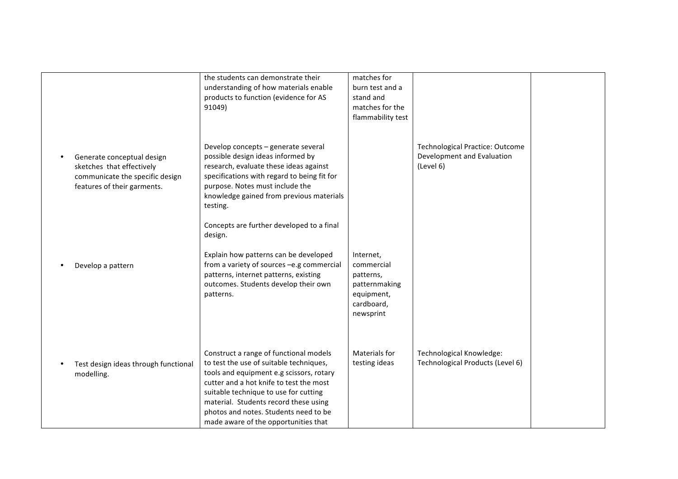|                                                                                                                           | the students can demonstrate their<br>understanding of how materials enable<br>products to function (evidence for AS<br>91049)                                                                                                                                                                                                              | matches for<br>burn test and a<br>stand and<br>matches for the<br>flammability test            |                                                                                   |  |
|---------------------------------------------------------------------------------------------------------------------------|---------------------------------------------------------------------------------------------------------------------------------------------------------------------------------------------------------------------------------------------------------------------------------------------------------------------------------------------|------------------------------------------------------------------------------------------------|-----------------------------------------------------------------------------------|--|
| Generate conceptual design<br>sketches that effectively<br>communicate the specific design<br>features of their garments. | Develop concepts - generate several<br>possible design ideas informed by<br>research, evaluate these ideas against<br>specifications with regard to being fit for<br>purpose. Notes must include the<br>knowledge gained from previous materials<br>testing.                                                                                |                                                                                                | <b>Technological Practice: Outcome</b><br>Development and Evaluation<br>(Level 6) |  |
| Develop a pattern                                                                                                         | Concepts are further developed to a final<br>design.<br>Explain how patterns can be developed<br>from a variety of sources -e.g commercial<br>patterns, internet patterns, existing<br>outcomes. Students develop their own<br>patterns.                                                                                                    | Internet,<br>commercial<br>patterns,<br>patternmaking<br>equipment,<br>cardboard,<br>newsprint |                                                                                   |  |
| Test design ideas through functional<br>modelling.                                                                        | Construct a range of functional models<br>to test the use of suitable techniques,<br>tools and equipment e.g scissors, rotary<br>cutter and a hot knife to test the most<br>suitable technique to use for cutting<br>material. Students record these using<br>photos and notes. Students need to be<br>made aware of the opportunities that | Materials for<br>testing ideas                                                                 | Technological Knowledge:<br>Technological Products (Level 6)                      |  |